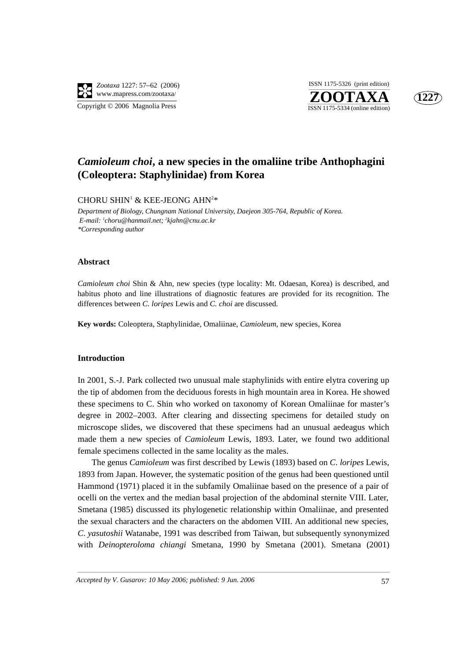

Copyright © 2006 Magnolia Press





# *Camioleum choi***, a new species in the omaliine tribe Anthophagini (Coleoptera: Staphylinidae) from Korea**

## CHORU SHIN<sup>1</sup> & KEE-JEONG AHN<sup>2\*</sup>

*Department of Biology, Chungnam National University, Daejeon 305-764, Republic of Korea. E-mail: 1 choru@hanmail.net; 2 kjahn@cnu.ac.kr \*Corresponding author*

## **Abstract**

*Camioleum choi* Shin & Ahn, new species (type locality: Mt. Odaesan, Korea) is described, and habitus photo and line illustrations of diagnostic features are provided for its recognition. The differences between *C. loripes* Lewis and *C. choi* are discussed.

**Key words:** Coleoptera, Staphylinidae, Omaliinae, *Camioleum*, new species, Korea

## **Introduction**

In 2001, S.-J. Park collected two unusual male staphylinids with entire elytra covering up the tip of abdomen from the deciduous forests in high mountain area in Korea. He showed these specimens to C. Shin who worked on taxonomy of Korean Omaliinae for master's degree in 2002–2003. After clearing and dissecting specimens for detailed study on microscope slides, we discovered that these specimens had an unusual aedeagus which made them a new species of *Camioleum* Lewis, 1893. Later, we found two additional female specimens collected in the same locality as the males.

The genus *Camioleum* was first described by Lewis (1893) based on *C*. *loripes* Lewis, 1893 from Japan. However, the systematic position of the genus had been questioned until Hammond (1971) placed it in the subfamily Omaliinae based on the presence of a pair of ocelli on the vertex and the median basal projection of the abdominal sternite VIII. Later, Smetana (1985) discussed its phylogenetic relationship within Omaliinae, and presented the sexual characters and the characters on the abdomen VIII. An additional new species, *C*. *yasutoshii* Watanabe, 1991 was described from Taiwan, but subsequently synonymized with *Deinopteroloma chiangi* Smetana, 1990 by Smetana (2001). Smetana (2001)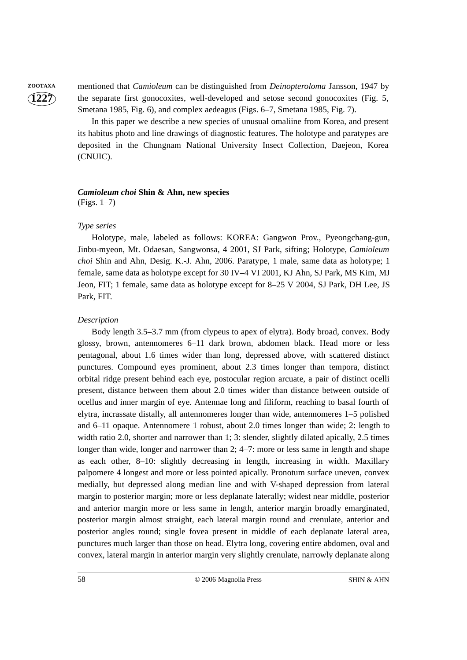**1227**

**ZOOTAXA** mentioned that *Camioleum* can be distinguished from *Deinopteroloma* Jansson, 1947 by the separate first gonocoxites, well-developed and setose second gonocoxites (Fig. 5, Smetana 1985, Fig. 6), and complex aedeagus (Figs. 6–7, Smetana 1985, Fig. 7).

> In this paper we describe a new species of unusual omaliine from Korea, and present its habitus photo and line drawings of diagnostic features. The holotype and paratypes are deposited in the Chungnam National University Insect Collection, Daejeon, Korea (CNUIC).

#### *Camioleum choi* **Shin & Ahn, new species** (Figs. 1–7)

*Type series*

Holotype, male, labeled as follows: KOREA: Gangwon Prov., Pyeongchang-gun, Jinbu-myeon, Mt. Odaesan, Sangwonsa, 4 2001, SJ Park, sifting; Holotype, *Camioleum choi* Shin and Ahn, Desig. K.-J. Ahn, 2006. Paratype, 1 male, same data as holotype; 1 female, same data as holotype except for 30 IV–4 VI 2001, KJ Ahn, SJ Park, MS Kim, MJ Jeon, FIT; 1 female, same data as holotype except for 8–25 V 2004, SJ Park, DH Lee, JS Park, FIT.

## *Description*

Body length 3.5–3.7 mm (from clypeus to apex of elytra). Body broad, convex. Body glossy, brown, antennomeres 6–11 dark brown, abdomen black. Head more or less pentagonal, about 1.6 times wider than long, depressed above, with scattered distinct punctures. Compound eyes prominent, about 2.3 times longer than tempora, distinct orbital ridge present behind each eye, postocular region arcuate, a pair of distinct ocelli present, distance between them about 2.0 times wider than distance between outside of ocellus and inner margin of eye. Antennae long and filiform, reaching to basal fourth of elytra, incrassate distally, all antennomeres longer than wide, antennomeres 1–5 polished and 6–11 opaque. Antennomere 1 robust, about 2.0 times longer than wide; 2: length to width ratio 2.0, shorter and narrower than 1; 3: slender, slightly dilated apically, 2.5 times longer than wide, longer and narrower than 2; 4–7: more or less same in length and shape as each other, 8–10: slightly decreasing in length, increasing in width. Maxillary palpomere 4 longest and more or less pointed apically. Pronotum surface uneven, convex medially, but depressed along median line and with V-shaped depression from lateral margin to posterior margin; more or less deplanate laterally; widest near middle, posterior and anterior margin more or less same in length, anterior margin broadly emarginated, posterior margin almost straight, each lateral margin round and crenulate, anterior and posterior angles round; single fovea present in middle of each deplanate lateral area, punctures much larger than those on head. Elytra long, covering entire abdomen, oval and convex, lateral margin in anterior margin very slightly crenulate, narrowly deplanate along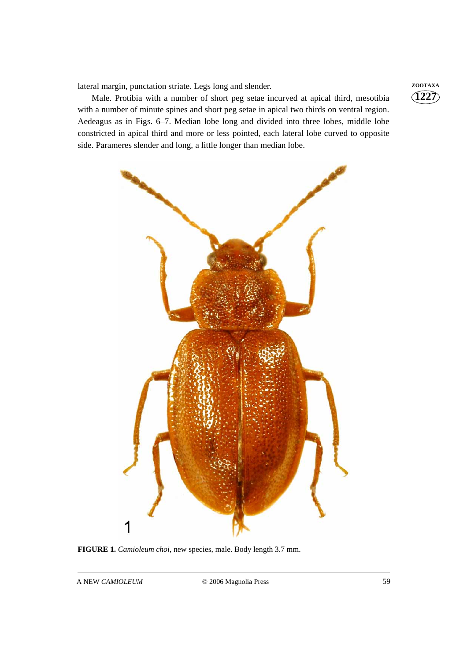lateral margin, punctation striate. Legs long and slender. **ZOOTAXA** 

Male. Protibia with a number of short peg setae incurved at apical third, mesotibia with a number of minute spines and short peg setae in apical two thirds on ventral region. Aedeagus as in Figs. 6–7. Median lobe long and divided into three lobes, middle lobe constricted in apical third and more or less pointed, each lateral lobe curved to opposite side. Parameres slender and long, a little longer than median lobe.



**FIGURE 1.** *Camioleum choi*, new species, male. Body length 3.7 mm.

**1227**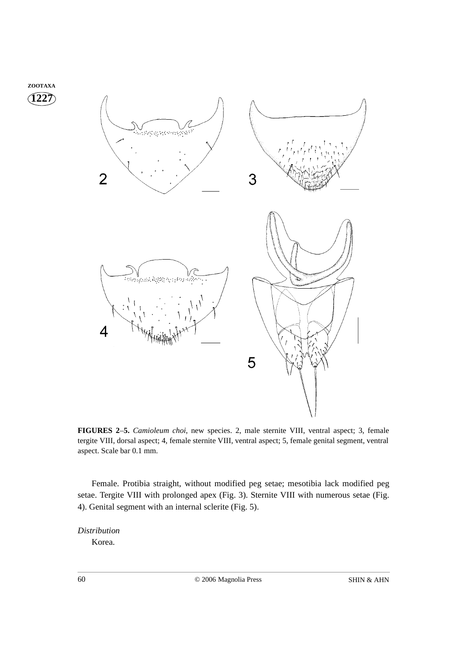

**FIGURES 2**–**5.** *Camioleum choi*, new species. 2, male sternite VIII, ventral aspect; 3, female tergite VIII, dorsal aspect; 4, female sternite VIII, ventral aspect; 5, female genital segment, ventral aspect. Scale bar 0.1 mm.

Female. Protibia straight, without modified peg setae; mesotibia lack modified peg setae. Tergite VIII with prolonged apex (Fig. 3). Sternite VIII with numerous setae (Fig. 4). Genital segment with an internal sclerite (Fig. 5).

*Distribution*

Korea.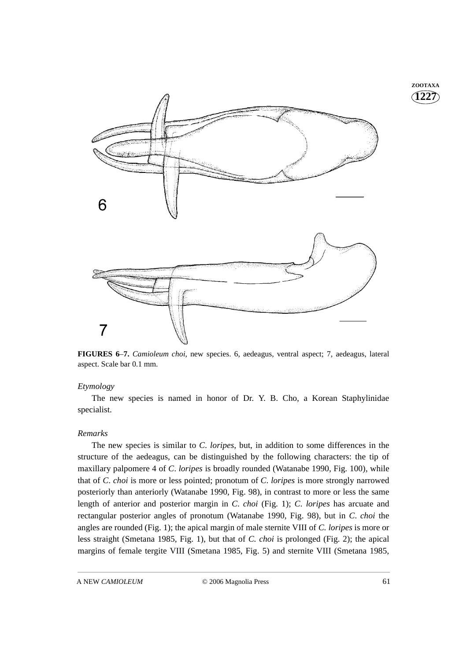

**FIGURES 6**–**7.** *Camioleum choi*, new species. 6, aedeagus, ventral aspect; 7, aedeagus, lateral aspect. Scale bar 0.1 mm.

## *Etymology*

The new species is named in honor of Dr. Y. B. Cho, a Korean Staphylinidae specialist.

## *Remarks*

The new species is similar to *C*. *loripes*, but, in addition to some differences in the structure of the aedeagus, can be distinguished by the following characters: the tip of maxillary palpomere 4 of *C*. *loripes* is broadly rounded (Watanabe 1990, Fig. 100), while that of *C*. *choi* is more or less pointed; pronotum of *C*. *loripes* is more strongly narrowed posteriorly than anteriorly (Watanabe 1990, Fig. 98), in contrast to more or less the same length of anterior and posterior margin in *C*. *choi* (Fig. 1); *C*. *loripes* has arcuate and rectangular posterior angles of pronotum (Watanabe 1990, Fig. 98), but in *C*. *choi* the angles are rounded (Fig. 1); the apical margin of male sternite VIII of *C. loripes* is more or less straight (Smetana 1985, Fig. 1), but that of *C. choi* is prolonged (Fig. 2); the apical margins of female tergite VIII (Smetana 1985, Fig. 5) and sternite VIII (Smetana 1985,

**1227 ZOOTAXA**